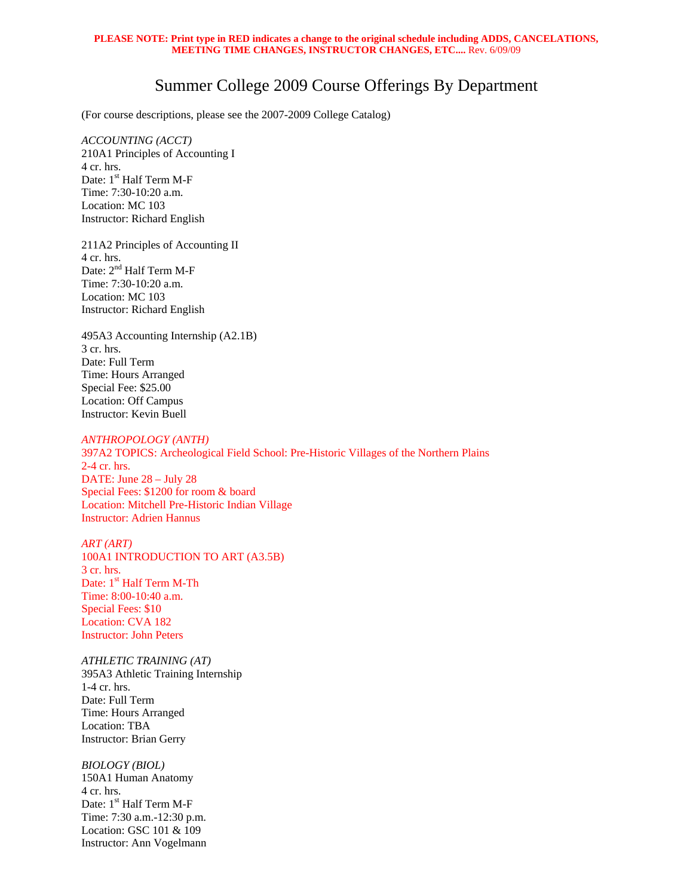## **PLEASE NOTE: Print type in RED indicates a change to the original schedule including ADDS, CANCELATIONS, MEETING TIME CHANGES, INSTRUCTOR CHANGES, ETC....** Rev. 6/09/09

## Summer College 2009 Course Offerings By Department

(For course descriptions, please see the 2007-2009 College Catalog)

*ACCOUNTING (ACCT)* 210A1 Principles of Accounting I 4 cr. hrs. Date: 1<sup>st</sup> Half Term M-F Time: 7:30-10:20 a.m. Location: MC 103 Instructor: Richard English

211A2 Principles of Accounting II 4 cr. hrs. Date: 2<sup>nd</sup> Half Term M-F Time: 7:30-10:20 a.m. Location: MC 103 Instructor: Richard English

495A3 Accounting Internship (A2.1B) 3 cr. hrs. Date: Full Term Time: Hours Arranged Special Fee: \$25.00 Location: Off Campus Instructor: Kevin Buell

## *ANTHROPOLOGY (ANTH)*

397A2 TOPICS: Archeological Field School: Pre-Historic Villages of the Northern Plains 2-4 cr. hrs. DATE: June 28 – July 28 Special Fees: \$1200 for room & board Location: Mitchell Pre-Historic Indian Village Instructor: Adrien Hannus

*ART (ART)*  100A1 INTRODUCTION TO ART (A3.5B) 3 cr. hrs. Date: 1<sup>st</sup> Half Term M-Th Time: 8:00-10:40 a.m. Special Fees: \$10 Location: CVA 182 Instructor: John Peters

*ATHLETIC TRAINING (AT)*  395A3 Athletic Training Internship 1-4 cr. hrs. Date: Full Term Time: Hours Arranged Location: TBA Instructor: Brian Gerry

*BIOLOGY (BIOL)*  150A1 Human Anatomy 4 cr. hrs. Date: 1<sup>st</sup> Half Term M-F Time: 7:30 a.m.-12:30 p.m. Location: GSC 101 & 109 Instructor: Ann Vogelmann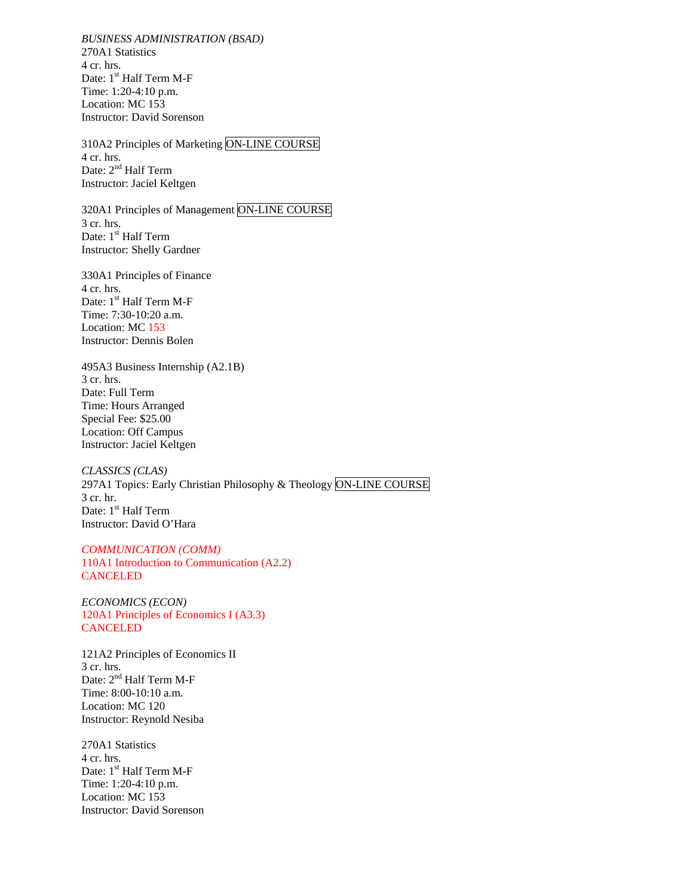*BUSINESS ADMINISTRATION (BSAD)*  270A1 Statistics 4 cr. hrs. Date: 1<sup>st</sup> Half Term M-F Time: 1:20-4:10 p.m. Location: MC 153 Instructor: David Sorenson

310A2 Principles of Marketing ON-LINE COURSE 4 cr. hrs. Date: 2<sup>nd</sup> Half Term Instructor: Jaciel Keltgen

320A1 Principles of Management ON-LINE COURSE 3 cr. hrs. Date: 1<sup>st</sup> Half Term Instructor: Shelly Gardner

330A1 Principles of Finance 4 cr. hrs. Date: 1<sup>st</sup> Half Term M-F Time: 7:30-10:20 a.m. Location: MC 153 Instructor: Dennis Bolen

495A3 Business Internship (A2.1B) 3 cr. hrs. Date: Full Term Time: Hours Arranged Special Fee: \$25.00 Location: Off Campus Instructor: Jaciel Keltgen

*CLASSICS (CLAS)*  297A1 Topics: Early Christian Philosophy & Theology ON-LINE COURSE 3 cr. hr. Date: 1<sup>st</sup> Half Term Instructor: David O'Hara

*COMMUNICATION (COMM)* 110A1 Introduction to Communication (A2.2) **CANCELED** 

*ECONOMICS (ECON)* 120A1 Principles of Economics I (A3.3) CANCELED

121A2 Principles of Economics II 3 cr. hrs. Date: 2<sup>nd</sup> Half Term M-F Time: 8:00-10:10 a.m. Location: MC 120 Instructor: Reynold Nesiba

270A1 Statistics 4 cr. hrs. Date: 1<sup>st</sup> Half Term M-F Time: 1:20-4:10 p.m. Location: MC 153 Instructor: David Sorenson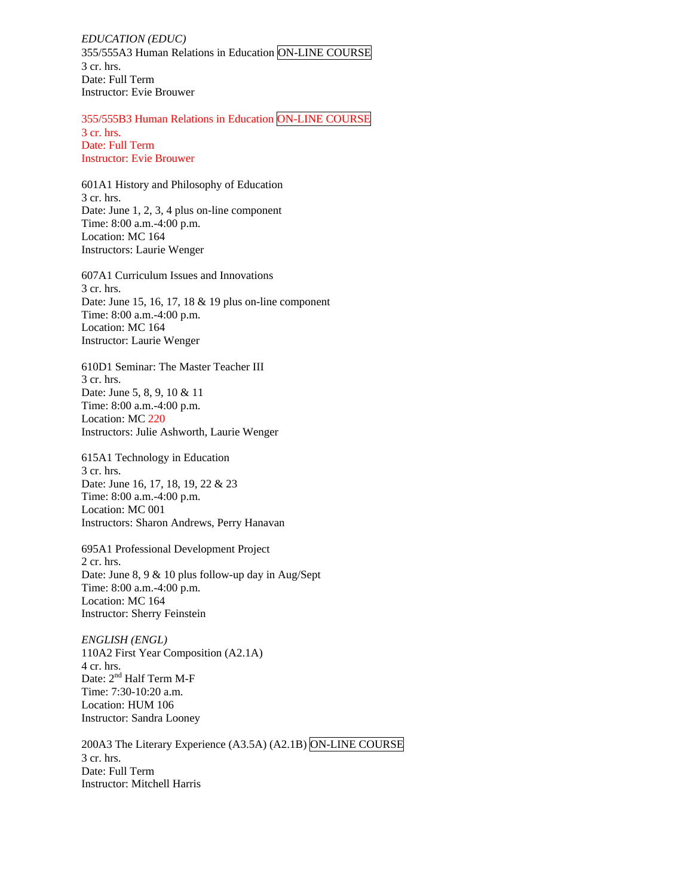*EDUCATION (EDUC)*  355/555A3 Human Relations in Education ON-LINE COURSE 3 cr. hrs. Date: Full Term Instructor: Evie Brouwer

355/555B3 Human Relations in Education ON-LINE COURSE 3 cr. hrs. Date: Full Term Instructor: Evie Brouwer

601A1 History and Philosophy of Education 3 cr. hrs. Date: June 1, 2, 3, 4 plus on-line component Time: 8:00 a.m.-4:00 p.m. Location: MC 164 Instructors: Laurie Wenger

607A1 Curriculum Issues and Innovations 3 cr. hrs. Date: June 15, 16, 17, 18 & 19 plus on-line component Time: 8:00 a.m.-4:00 p.m. Location: MC 164 Instructor: Laurie Wenger

610D1 Seminar: The Master Teacher III 3 cr. hrs. Date: June 5, 8, 9, 10 & 11 Time: 8:00 a.m.-4:00 p.m. Location: MC 220 Instructors: Julie Ashworth, Laurie Wenger

615A1 Technology in Education 3 cr. hrs. Date: June 16, 17, 18, 19, 22 & 23 Time: 8:00 a.m.-4:00 p.m. Location: MC 001 Instructors: Sharon Andrews, Perry Hanavan

695A1 Professional Development Project 2 cr. hrs. Date: June 8, 9 & 10 plus follow-up day in Aug/Sept Time: 8:00 a.m.-4:00 p.m. Location: MC 164 Instructor: Sherry Feinstein

*ENGLISH (ENGL)*  110A2 First Year Composition (A2.1A) 4 cr. hrs. Date: 2<sup>nd</sup> Half Term M-F Time: 7:30-10:20 a.m. Location: HUM 106 Instructor: Sandra Looney

200A3 The Literary Experience (A3.5A) (A2.1B) ON-LINE COURSE 3 cr. hrs. Date: Full Term Instructor: Mitchell Harris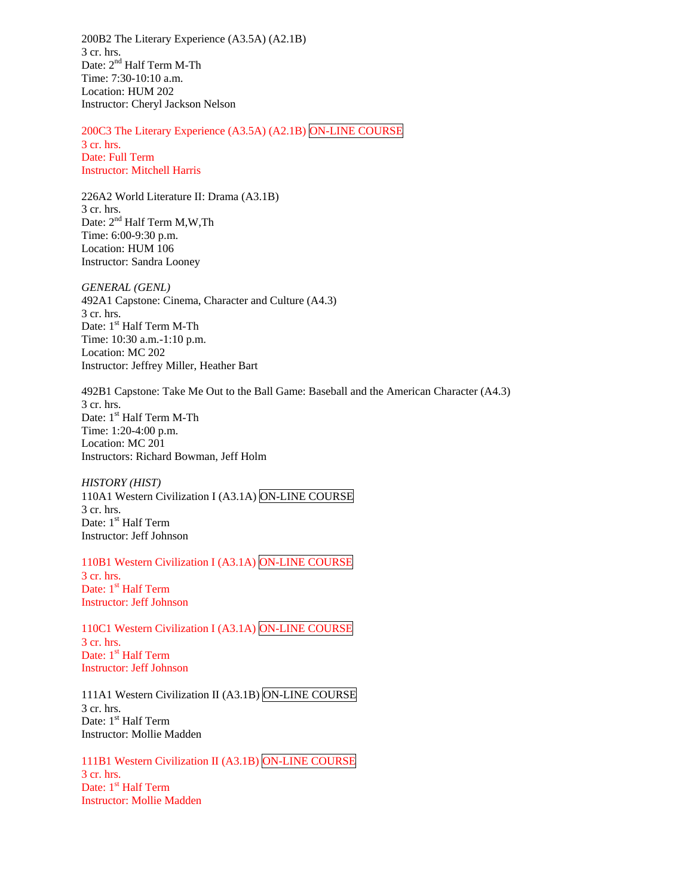200B2 The Literary Experience (A3.5A) (A2.1B) 3 cr. hrs. Date: 2<sup>nd</sup> Half Term M-Th Time: 7:30-10:10 a.m. Location: HUM 202 Instructor: Cheryl Jackson Nelson

200C3 The Literary Experience (A3.5A) (A2.1B) ON-LINE COURSE 3 cr. hrs. Date: Full Term Instructor: Mitchell Harris

226A2 World Literature II: Drama (A3.1B) 3 cr. hrs. Date:  $2<sup>nd</sup>$  Half Term M,W,Th Time: 6:00-9:30 p.m. Location: HUM 106 Instructor: Sandra Looney

*GENERAL (GENL)*  492A1 Capstone: Cinema, Character and Culture (A4.3) 3 cr. hrs. Date: 1<sup>st</sup> Half Term M-Th Time: 10:30 a.m.-1:10 p.m. Location: MC 202 Instructor: Jeffrey Miller, Heather Bart

492B1 Capstone: Take Me Out to the Ball Game: Baseball and the American Character (A4.3) 3 cr. hrs. Date: 1<sup>st</sup> Half Term M-Th Time: 1:20-4:00 p.m. Location: MC 201 Instructors: Richard Bowman, Jeff Holm

*HISTORY (HIST)*  110A1 Western Civilization I (A3.1A) ON-LINE COURSE 3 cr. hrs. Date: 1<sup>st</sup> Half Term Instructor: Jeff Johnson

110B1 Western Civilization I (A3.1A) ON-LINE COURSE 3 cr. hrs. Date: 1<sup>st</sup> Half Term Instructor: Jeff Johnson

110C1 Western Civilization I (A3.1A) ON-LINE COURSE 3 cr. hrs. Date: 1<sup>st</sup> Half Term Instructor: Jeff Johnson

111A1 Western Civilization II (A3.1B) ON-LINE COURSE 3 cr. hrs. Date: 1<sup>st</sup> Half Term Instructor: Mollie Madden

111B1 Western Civilization II (A3.1B) ON-LINE COURSE 3 cr. hrs. Date: 1<sup>st</sup> Half Term Instructor: Mollie Madden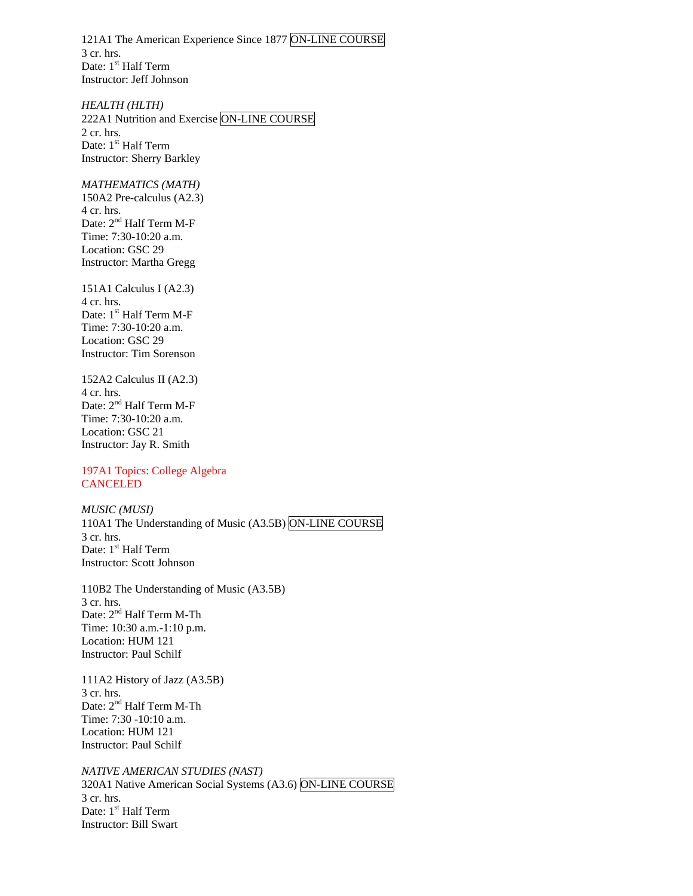121A1 The American Experience Since 1877 ON-LINE COURSE 3 cr. hrs. Date: 1<sup>st</sup> Half Term Instructor: Jeff Johnson

*HEALTH (HLTH)*  222A1 Nutrition and Exercise ON-LINE COURSE 2 cr. hrs. Date: 1<sup>st</sup> Half Term Instructor: Sherry Barkley

## *MATHEMATICS (MATH)*

150A2 Pre-calculus (A2.3) 4 cr. hrs. Date: 2<sup>nd</sup> Half Term M-F Time: 7:30-10:20 a.m. Location: GSC 29 Instructor: Martha Gregg

151A1 Calculus I (A2.3) 4 cr. hrs. Date: 1<sup>st</sup> Half Term M-F Time: 7:30-10:20 a.m. Location: GSC 29 Instructor: Tim Sorenson

152A2 Calculus II (A2.3) 4 cr. hrs. Date: 2<sup>nd</sup> Half Term M-F Time: 7:30-10:20 a.m. Location: GSC 21 Instructor: Jay R. Smith

197A1 Topics: College Algebra **CANCELED** 

*MUSIC (MUSI)* 110A1 The Understanding of Music (A3.5B) ON-LINE COURSE 3 cr. hrs. Date: 1<sup>st</sup> Half Term Instructor: Scott Johnson

110B2 The Understanding of Music (A3.5B) 3 cr. hrs. Date: 2<sup>nd</sup> Half Term M-Th Time: 10:30 a.m.-1:10 p.m. Location: HUM 121 Instructor: Paul Schilf

111A2 History of Jazz (A3.5B) 3 cr. hrs. Date: 2<sup>nd</sup> Half Term M-Th Time: 7:30 -10:10 a.m. Location: HUM 121 Instructor: Paul Schilf

*NATIVE AMERICAN STUDIES (NAST)*  320A1 Native American Social Systems (A3.6) ON-LINE COURSE 3 cr. hrs. Date: 1<sup>st</sup> Half Term Instructor: Bill Swart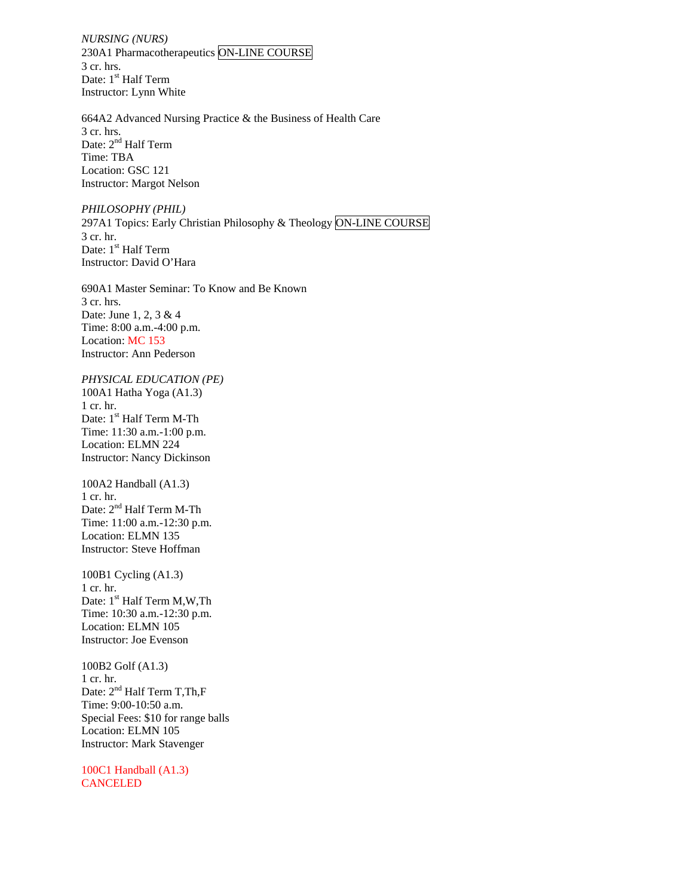*NURSING (NURS)*  230A1 Pharmacotherapeutics ON-LINE COURSE 3 cr. hrs. Date: 1<sup>st</sup> Half Term Instructor: Lynn White

664A2 Advanced Nursing Practice & the Business of Health Care 3 cr. hrs. Date: 2<sup>nd</sup> Half Term Time: TBA Location: GSC 121 Instructor: Margot Nelson

*PHILOSOPHY (PHIL)*  297A1 Topics: Early Christian Philosophy & Theology ON-LINE COURSE 3 cr. hr. Date: 1<sup>st</sup> Half Term Instructor: David O'Hara

690A1 Master Seminar: To Know and Be Known 3 cr. hrs. Date: June 1, 2, 3 & 4 Time: 8:00 a.m.-4:00 p.m. Location: MC 153 Instructor: Ann Pederson

*PHYSICAL EDUCATION (PE)* 100A1 Hatha Yoga (A1.3) 1 cr. hr. Date: 1<sup>st</sup> Half Term M-Th Time: 11:30 a.m.-1:00 p.m. Location: ELMN 224 Instructor: Nancy Dickinson

100A2 Handball (A1.3) 1 cr. hr. Date: 2<sup>nd</sup> Half Term M-Th Time: 11:00 a.m.-12:30 p.m. Location: ELMN 135 Instructor: Steve Hoffman

100B1 Cycling (A1.3) 1 cr. hr. Date: 1<sup>st</sup> Half Term M,W,Th Time: 10:30 a.m.-12:30 p.m. Location: ELMN 105 Instructor: Joe Evenson

100B2 Golf (A1.3) 1 cr. hr. Date:  $2<sup>nd</sup>$  Half Term T, Th, F Time: 9:00-10:50 a.m. Special Fees: \$10 for range balls Location: ELMN 105 Instructor: Mark Stavenger

100C1 Handball (A1.3) **CANCELED**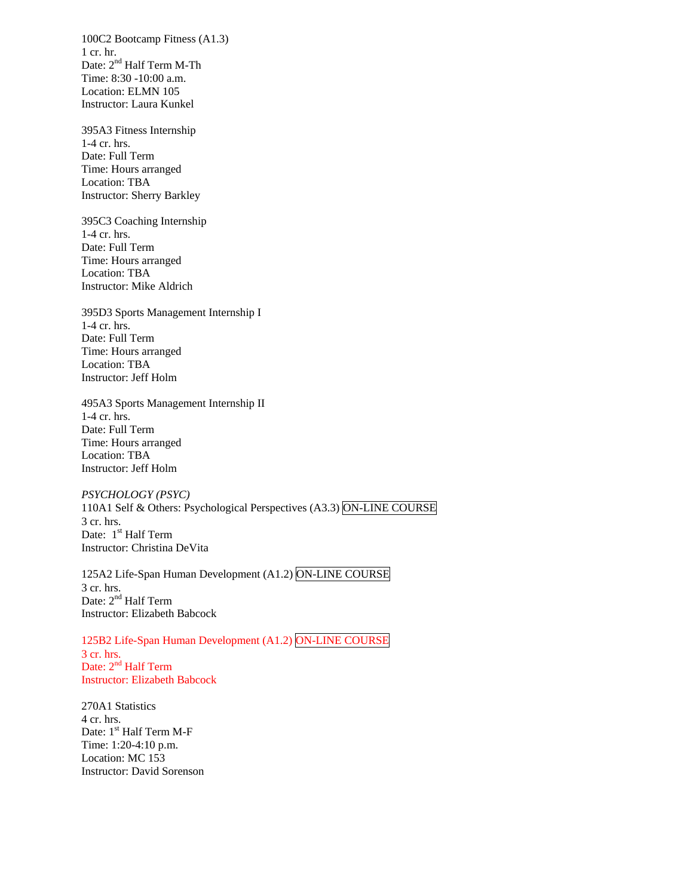100C2 Bootcamp Fitness (A1.3) 1 cr. hr. Date: 2<sup>nd</sup> Half Term M-Th Time: 8:30 -10:00 a.m. Location: ELMN 105 Instructor: Laura Kunkel

395A3 Fitness Internship 1-4 cr. hrs. Date: Full Term Time: Hours arranged Location: TBA Instructor: Sherry Barkley

395C3 Coaching Internship 1-4 cr. hrs. Date: Full Term Time: Hours arranged Location: TBA Instructor: Mike Aldrich

395D3 Sports Management Internship I 1-4 cr. hrs. Date: Full Term Time: Hours arranged Location: TBA Instructor: Jeff Holm

495A3 Sports Management Internship II 1-4 cr. hrs. Date: Full Term Time: Hours arranged Location: TBA Instructor: Jeff Holm

*PSYCHOLOGY (PSYC)* 110A1 Self & Others: Psychological Perspectives (A3.3) ON-LINE COURSE 3 cr. hrs. Date: 1<sup>st</sup> Half Term Instructor: Christina DeVita

125A2 Life-Span Human Development (A1.2) ON-LINE COURSE 3 cr. hrs. Date: 2<sup>nd</sup> Half Term Instructor: Elizabeth Babcock

125B2 Life-Span Human Development (A1.2) ON-LINE COURSE 3 cr. hrs. Date: 2<sup>nd</sup> Half Term Instructor: Elizabeth Babcock

270A1 Statistics 4 cr. hrs. Date: 1<sup>st</sup> Half Term M-F Time: 1:20-4:10 p.m. Location: MC 153 Instructor: David Sorenson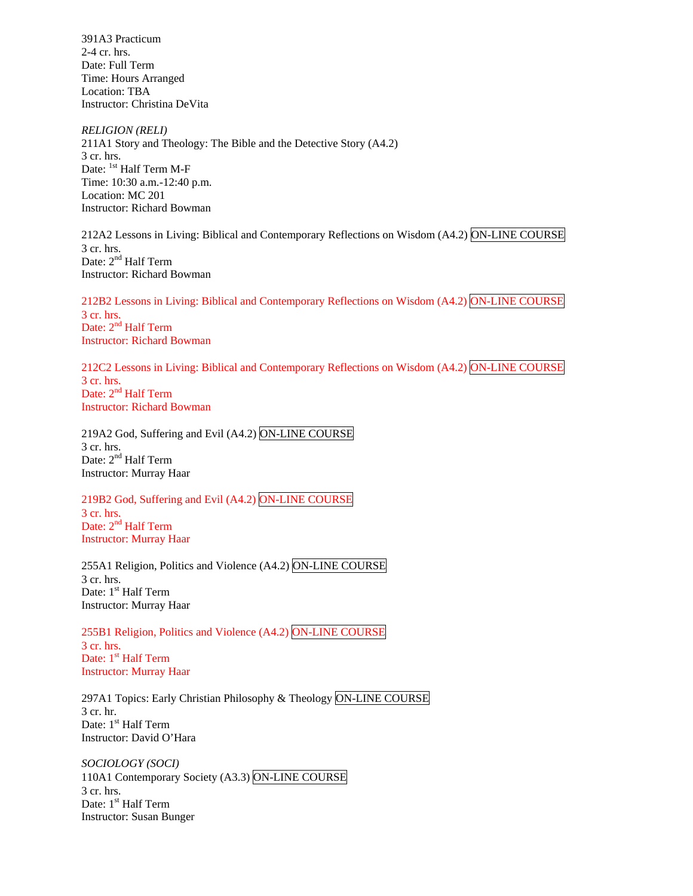391A3 Practicum 2-4 cr. hrs. Date: Full Term Time: Hours Arranged Location: TBA Instructor: Christina DeVita

*RELIGION (RELI)*  211A1 Story and Theology: The Bible and the Detective Story (A4.2) 3 cr. hrs. Date: <sup>1st</sup> Half Term M-F Time: 10:30 a.m.-12:40 p.m. Location: MC 201 Instructor: Richard Bowman

212A2 Lessons in Living: Biblical and Contemporary Reflections on Wisdom (A4.2) ON-LINE COURSE 3 cr. hrs. Date: 2<sup>nd</sup> Half Term Instructor: Richard Bowman

212B2 Lessons in Living: Biblical and Contemporary Reflections on Wisdom (A4.2) ON-LINE COURSE 3 cr. hrs. Date: 2<sup>nd</sup> Half Term Instructor: Richard Bowman

212C2 Lessons in Living: Biblical and Contemporary Reflections on Wisdom (A4.2) ON-LINE COURSE 3 cr. hrs. Date: 2<sup>nd</sup> Half Term Instructor: Richard Bowman

219A2 God, Suffering and Evil (A4.2) ON-LINE COURSE 3 cr. hrs. Date: 2<sup>nd</sup> Half Term Instructor: Murray Haar

219B2 God, Suffering and Evil (A4.2) ON-LINE COURSE 3 cr. hrs. Date:  $2<sup>nd</sup>$  Half Term Instructor: Murray Haar

255A1 Religion, Politics and Violence (A4.2) ON-LINE COURSE 3 cr. hrs. Date: 1<sup>st</sup> Half Term Instructor: Murray Haar

255B1 Religion, Politics and Violence (A4.2) ON-LINE COURSE 3 cr. hrs. Date: 1<sup>st</sup> Half Term Instructor: Murray Haar

297A1 Topics: Early Christian Philosophy & Theology ON-LINE COURSE 3 cr. hr. Date: 1<sup>st</sup> Half Term Instructor: David O'Hara

*SOCIOLOGY (SOCI)*  110A1 Contemporary Society (A3.3) ON-LINE COURSE 3 cr. hrs. Date: 1<sup>st</sup> Half Term Instructor: Susan Bunger